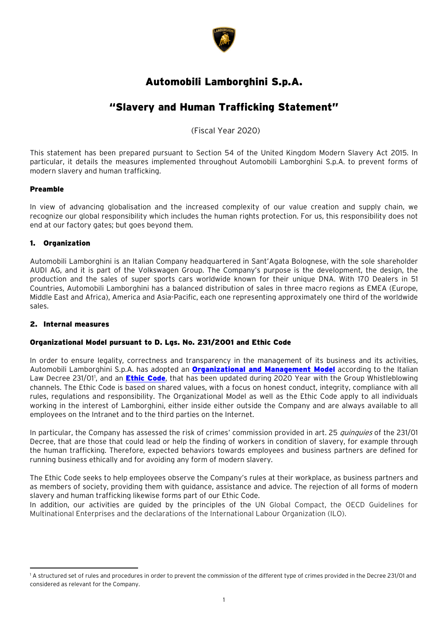

# Automobili Lamborghini S.p.A.

# "Slavery and Human Trafficking Statement"

(Fiscal Year 2020)

This statement has been prepared pursuant to Section 54 of the United Kingdom Modern Slavery Act 2015. In particular, it details the measures implemented throughout Automobili Lamborghini S.p.A. to prevent forms of modern slavery and human trafficking.

# Preamble

In view of advancing globalisation and the increased complexity of our value creation and supply chain, we recognize our global responsibility which includes the human rights protection. For us, this responsibility does not end at our factory gates; but goes beyond them.

# 1. Organization

Automobili Lamborghini is an Italian Company headquartered in Sant'Agata Bolognese, with the sole shareholder AUDI AG, and it is part of the Volkswagen Group. The Company's purpose is the development, the design, the production and the sales of super sports cars worldwide known for their unique DNA. With 170 Dealers in 51 Countries, Automobili Lamborghini has a balanced distribution of sales in three macro regions as EMEA (Europe, Middle East and Africa), America and Asia-Pacific, each one representing approximately one third of the worldwide sales.

# 2. Internal measures

 $\overline{\phantom{a}}$ 

# Organizational Model pursuant to D. Lgs. No. 231/2001 and Ethic Code

In order to ensure legality, correctness and transparency in the management of its business and its activities, Automobili Lamborghini S.p.A. has adopted an **[Organizational and Management Model](https://www.lamborghini.com/sites/it-en/files/DAM/lamborghini/company/pdf/2021/modello_organizzativo/AL-Organizational%20Model%20231%20General%20Parts_ENG.pdf)** according to the Italian Law Decree 23[1](#page-0-0)/01', and an <mark>[Ethic Code](https://www.lamborghini.com/sites/it-en/files/DAM/lamborghini/company/pdf/2020/Ethic%20Code_web%20version%202020.pdf)</mark>, that has been updated during 2020 Year with the Group Whistleblowing channels. The Ethic Code is based on shared values, with a focus on honest conduct, integrity, compliance with all rules, regulations and responsibility. The Organizational Model as well as the Ethic Code apply to all individuals working in the interest of Lamborghini, either inside either outside the Company and are always available to all employees on the Intranet and to the third parties on the Internet.

In particular, the Company has assessed the risk of crimes' commission provided in art. 25 quinquies of the 231/01 Decree, that are those that could lead or help the finding of workers in condition of slavery, for example through the human trafficking. Therefore, expected behaviors towards employees and business partners are defined for running business ethically and for avoiding any form of modern slavery.

The Ethic Code seeks to help employees observe the Company's rules at their workplace, as business partners and as members of society, providing them with guidance, assistance and advice. The rejection of all forms of modern slavery and human trafficking likewise forms part of our Ethic Code.

In addition, our activities are guided by the principles of the UN Global Compact, the OECD Guidelines for Multinational Enterprises and the declarations of the International Labour Organization (ILO).

<span id="page-0-0"></span><sup>1</sup> A structured set of rules and procedures in order to prevent the commission of the different type of crimes provided in the Decree 231/01 and considered as relevant for the Company.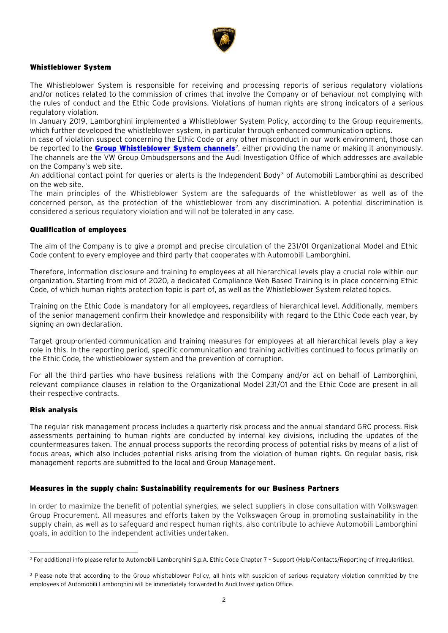

## Whistleblower System

The Whistleblower System is responsible for receiving and processing reports of serious regulatory violations and/or notices related to the commission of crimes that involve the Company or of behaviour not complying with the rules of conduct and the Ethic Code provisions. Violations of human rights are strong indicators of a serious regulatory violation.

In January 2019, Lamborghini implemented a Whistleblower System Policy, according to the Group requirements, which further developed the whistleblower system, in particular through enhanced communication options.

In case of violation suspect concerning the Ethic Code or any other misconduct in our work environment, those can be reported to the <mark>[Group Whistleblower System channels](https://www.lamborghini.com/sites/it-en/files/DAM/lamborghini/company/pdf/2020/Whistleblower%20System%20-%20Website%20ENG%20-%202020%20v2.pdf)</mark><sup>[2](#page-1-0)</sup>, either providing the name or making it anonymously. The channels are the VW Group Ombudspersons and the Audi Investigation Office of which addresses are available on the Company's web site.

An additional contact point for queries or alerts is the Independent Body<sup>[3](#page-1-1)</sup> of Automobili Lamborghini as described on the web site.

The main principles of the Whistleblower System are the safeguards of the whistleblower as well as of the concerned person, as the protection of the whistleblower from any discrimination. A potential discrimination is considered a serious regulatory violation and will not be tolerated in any case.

### Qualification of employees

The aim of the Company is to give a prompt and precise circulation of the 231/01 Organizational Model and Ethic Code content to every employee and third party that cooperates with Automobili Lamborghini.

Therefore, information disclosure and training to employees at all hierarchical levels play a crucial role within our organization. Starting from mid of 2020, a dedicated Compliance Web Based Training is in place concerning Ethic Code, of which human rights protection topic is part of, as well as the Whistleblower System related topics.

Training on the Ethic Code is mandatory for all employees, regardless of hierarchical level. Additionally, members of the senior management confirm their knowledge and responsibility with regard to the Ethic Code each year, by signing an own declaration.

Target group-oriented communication and training measures for employees at all hierarchical levels play a key role in this. In the reporting period, specific communication and training activities continued to focus primarily on the Ethic Code, the whistleblower system and the prevention of corruption.

For all the third parties who have business relations with the Company and/or act on behalf of Lamborghini, relevant compliance clauses in relation to the Organizational Model 231/01 and the Ethic Code are present in all their respective contracts.

### Risk analysis

The regular risk management process includes a quarterly risk process and the annual standard GRC process. Risk assessments pertaining to human rights are conducted by internal key divisions, including the updates of the countermeasures taken. The annual process supports the recording process of potential risks by means of a list of focus areas, which also includes potential risks arising from the violation of human rights. On regular basis, risk management reports are submitted to the local and Group Management.

### Measures in the supply chain: Sustainability requirements for our Business Partners

In order to maximize the benefit of potential synergies, we select suppliers in close consultation with Volkswagen Group Procurement. All measures and efforts taken by the Volkswagen Group in promoting sustainability in the supply chain, as well as to safeguard and respect human rights, also contribute to achieve Automobili Lamborghini goals, in addition to the independent activities undertaken.

<span id="page-1-0"></span> $\overline{\phantom{a}}$ <sup>2</sup> For additional info please refer to Automobili Lamborghini S.p.A. Ethic Code Chapter 7 – Support (Help/Contacts/Reporting of irregularities).

<span id="page-1-1"></span><sup>&</sup>lt;sup>3</sup> Please note that according to the Group whislteblower Policy, all hints with suspicion of serious regulatory violation committed by the employees of Automobili Lamborghini will be immediately forwarded to Audi Investigation Office.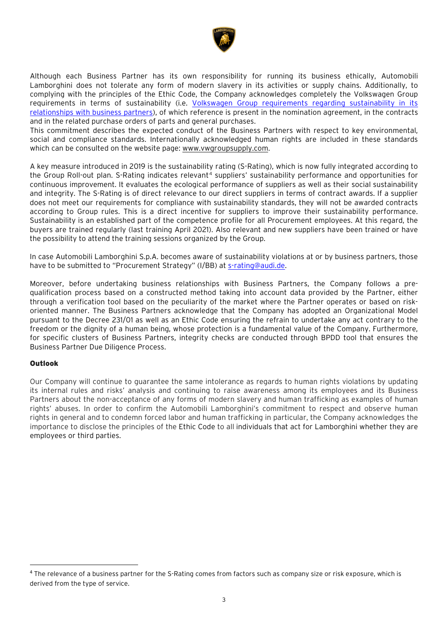

Although each Business Partner has its own responsibility for running its business ethically, Automobili Lamborghini does not tolerate any form of modern slavery in its activities or supply chains. Additionally, to complying with the principles of the Ethic Code, the Company acknowledges completely the Volkswagen Group requirements in terms of sustainability (i.e. [Volkswagen Group requirements regarding sustainability in its](https://www.vwgroupsupply.com/one-kbp-pub/en/kbp_public/information/nachhaltigkeit_neu_pub_2019/sustainability_requirements/basicpage_for_general_pages__html_13.html)  [relationships with business partners\)](https://www.vwgroupsupply.com/one-kbp-pub/en/kbp_public/information/nachhaltigkeit_neu_pub_2019/sustainability_requirements/basicpage_for_general_pages__html_13.html), of which reference is present in the nomination agreement, in the contracts and in the related purchase orders of parts and general purchases.

This commitment describes the expected conduct of the Business Partners with respect to key environmental, social and compliance standards. Internationally acknowledged human rights are included in these standards which can be consulted on the website page: [www.vwgroupsupply.com.](http://www.vwgroupsupply.com/)

A key measure introduced in 2019 is the sustainability rating (S-Rating), which is now fully integrated according to the Group Roll-out plan. S-Rating indicates relevant<sup>[4](#page-2-0)</sup> suppliers' sustainability performance and opportunities for continuous improvement. It evaluates the ecological performance of suppliers as well as their social sustainability and integrity. The S-Rating is of direct relevance to our direct suppliers in terms of contract awards. If a supplier does not meet our requirements for compliance with sustainability standards, they will not be awarded contracts according to Group rules. This is a direct incentive for suppliers to improve their sustainability performance. Sustainability is an established part of the competence profile for all Procurement employees. At this regard, the buyers are trained regularly (last training April 2021). Also relevant and new suppliers have been trained or have the possibility to attend the training sessions organized by the Group.

In case Automobili Lamborghini S.p.A. becomes aware of sustainability violations at or by business partners, those have to be submitted to "Procurement Strategy" (I/BB) at [s-rating@audi.de.](mailto:s-rating@audi.de)

Moreover, before undertaking business relationships with Business Partners, the Company follows a prequalification process based on a constructed method taking into account data provided by the Partner, either through a verification tool based on the peculiarity of the market where the Partner operates or based on riskoriented manner. The Business Partners acknowledge that the Company has adopted an Organizational Model pursuant to the Decree 231/01 as well as an Ethic Code ensuring the refrain to undertake any act contrary to the freedom or the dignity of a human being, whose protection is a fundamental value of the Company. Furthermore, for specific clusters of Business Partners, integrity checks are conducted through BPDD tool that ensures the Business Partner Due Diligence Process.

# **Outlook**

Our Company will continue to guarantee the same intolerance as regards to human rights violations by updating its internal rules and risks' analysis and continuing to raise awareness among its employees and its Business Partners about the non-acceptance of any forms of modern slavery and human trafficking as examples of human rights' abuses. In order to confirm the Automobili Lamborghini's commitment to respect and observe human rights in general and to condemn forced labor and human trafficking in particular, the Company acknowledges the importance to disclose the principles of the Ethic Code to all individuals that act for Lamborghini whether they are employees or third parties.

<span id="page-2-0"></span><sup>&</sup>lt;sup>4</sup> The relevance of a business partner for the S-Rating comes from factors such as company size or risk exposure, which is derived from the type of service.